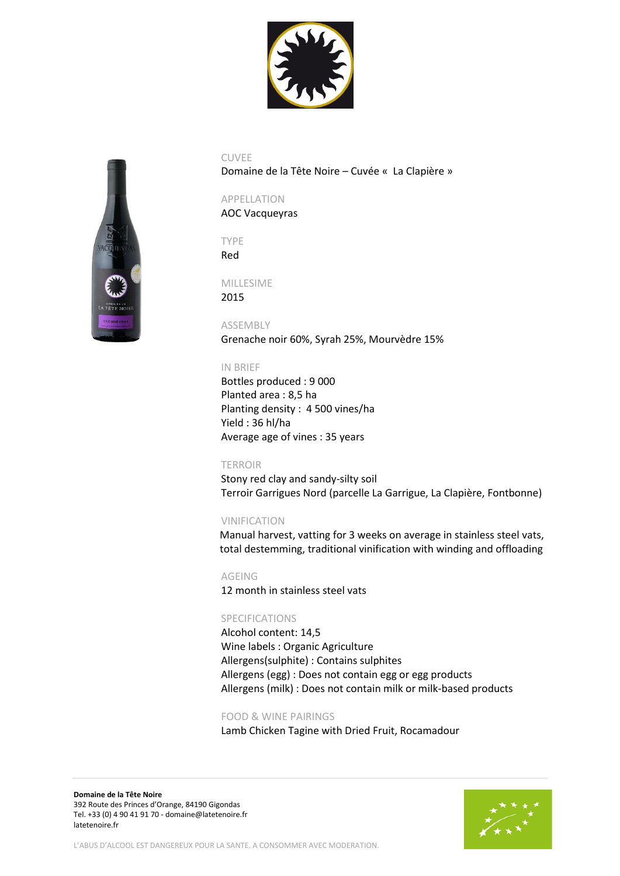



Domaine de la Tête Noire – Cuvée « La Clapière »

# APPELLATION

AOC Vacqueyras

TYPE Red

MILLESIME 2015

ASSEMBLY Grenache noir 60%, Syrah 25%, Mourvèdre 15%

## IN BRIEF

Bottles produced : 9 000 Planted area : 8,5 ha Planting density : 4 500 vines/ha Yield : 36 hl/ha Average age of vines : 35 years

#### TERROIR

Stony red clay and sandy-silty soil Terroir Garrigues Nord (parcelle La Garrigue, La Clapière, Fontbonne)

# VINIFICATION

Manual harvest, vatting for 3 weeks on average in stainless steel vats, total destemming, traditional vinification with winding and offloading

AGEING 12 month in stainless steel vats

# SPECIFICATIONS

Alcohol content: 14,5 Wine labels : Organic Agriculture Allergens(sulphite) : Contains sulphites Allergens (egg) : Does not contain egg or egg products Allergens (milk) : Does not contain milk or milk-based products

#### FOOD & WINE PAIRINGS

Lamb Chicken Tagine with Dried Fruit, Rocamadour

**Domaine de la Tête Noire**  392 Route des Princes d'Orange, 84190 Gigondas Tel. +33 (0) 4 90 41 91 70 - [domaine@latetenoire.fr](mailto:domaine@latetenoire.fr) latetenoire.fr